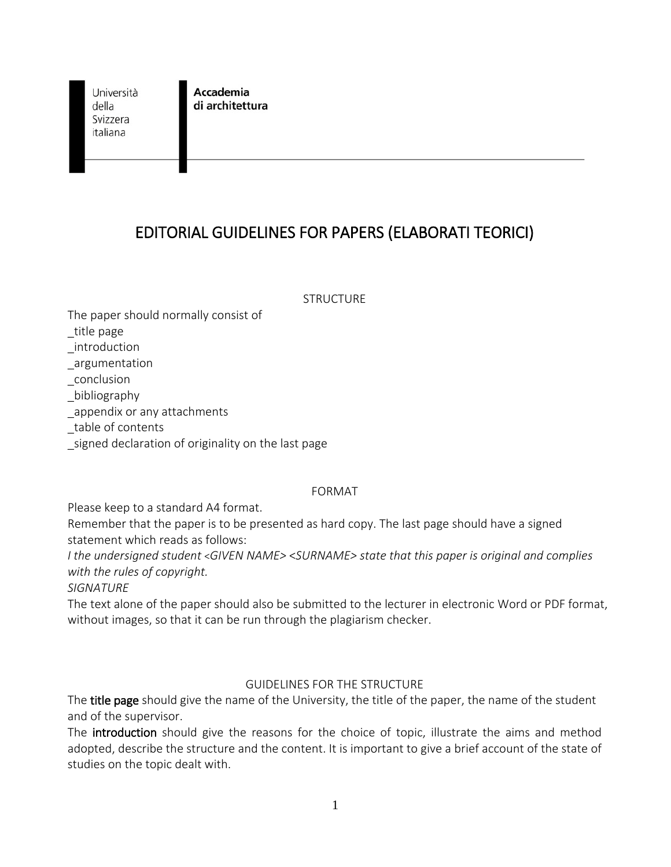Università della Svizzera italiana

**Accademia** di architettura

# EDITORIAL GUIDELINES FOR PAPERS (ELABORATI TEORICI)

**STRUCTURE** 

The paper should normally consist of

\_title page

\_introduction

\_argumentation

\_conclusion

\_bibliography

appendix or any attachments

\_table of contents

\_signed declaration of originality on the last page

## FORMAT

Please keep to a standard A4 format.

Remember that the paper is to be presented as hard copy. The last page should have a signed statement which reads as follows:

*I the undersigned student* <*GIVEN NAME>* <*SURNAME> state that this paper is original and complies with the rules of copyright.*

*SIGNATURE*

The text alone of the paper should also be submitted to the lecturer in electronic Word or PDF format, without images, so that it can be run through the plagiarism checker.

## GUIDELINES FOR THE STRUCTURE

The title page should give the name of the University, the title of the paper, the name of the student and of the supervisor.

The introduction should give the reasons for the choice of topic, illustrate the aims and method adopted, describe the structure and the content. It is important to give a brief account of the state of studies on the topic dealt with.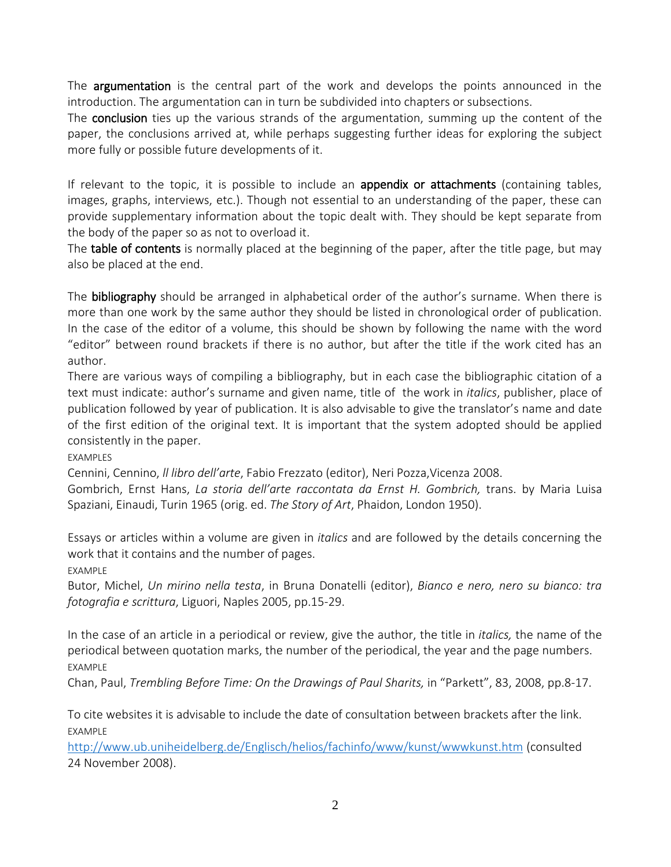The **argumentation** is the central part of the work and develops the points announced in the introduction. The argumentation can in turn be subdivided into chapters or subsections.

The **conclusion** ties up the various strands of the argumentation, summing up the content of the paper, the conclusions arrived at, while perhaps suggesting further ideas for exploring the subject more fully or possible future developments of it.

If relevant to the topic, it is possible to include an **appendix or attachments** (containing tables, images, graphs, interviews, etc.). Though not essential to an understanding of the paper, these can provide supplementary information about the topic dealt with. They should be kept separate from the body of the paper so as not to overload it.

The table of contents is normally placed at the beginning of the paper, after the title page, but may also be placed at the end.

The **bibliography** should be arranged in alphabetical order of the author's surname. When there is more than one work by the same author they should be listed in chronological order of publication. In the case of the editor of a volume, this should be shown by following the name with the word "editor" between round brackets if there is no author, but after the title if the work cited has an author.

There are various ways of compiling a bibliography, but in each case the bibliographic citation of a text must indicate: author's surname and given name, title of the work in *italics*, publisher, place of publication followed by year of publication. It is also advisable to give the translator's name and date of the first edition of the original text. It is important that the system adopted should be applied consistently in the paper.

EXAMPLES

Cennini, Cennino, *ll libro dell'arte*, Fabio Frezzato (editor), Neri Pozza,Vicenza 2008.

Gombrich, Ernst Hans, *La storia dell'arte raccontata da Ernst H. Gombrich,* trans. by Maria Luisa Spaziani, Einaudi, Turin 1965 (orig. ed. *The Story of Art*, Phaidon, London 1950).

Essays or articles within a volume are given in *italics* and are followed by the details concerning the work that it contains and the number of pages.

EXAMPLE

Butor, Michel, *Un mirino nella testa*, in Bruna Donatelli (editor), *Bianco e nero, nero su bianco: tra fotografia e scrittura*, Liguori, Naples 2005, pp.15-29.

In the case of an article in a periodical or review, give the author, the title in *italics,* the name of the periodical between quotation marks, the number of the periodical, the year and the page numbers. EXAMPLE

Chan, Paul, *Trembling Before Time: On the Drawings of Paul Sharits,* in "Parkett", 83, 2008, pp.8-17.

To cite websites it is advisable to include the date of consultation between brackets after the link. EXAMPLE

<http://www.ub.uniheidelberg.de/Englisch/helios/fachinfo/www/kunst/wwwkunst.htm> (consulted 24 November 2008).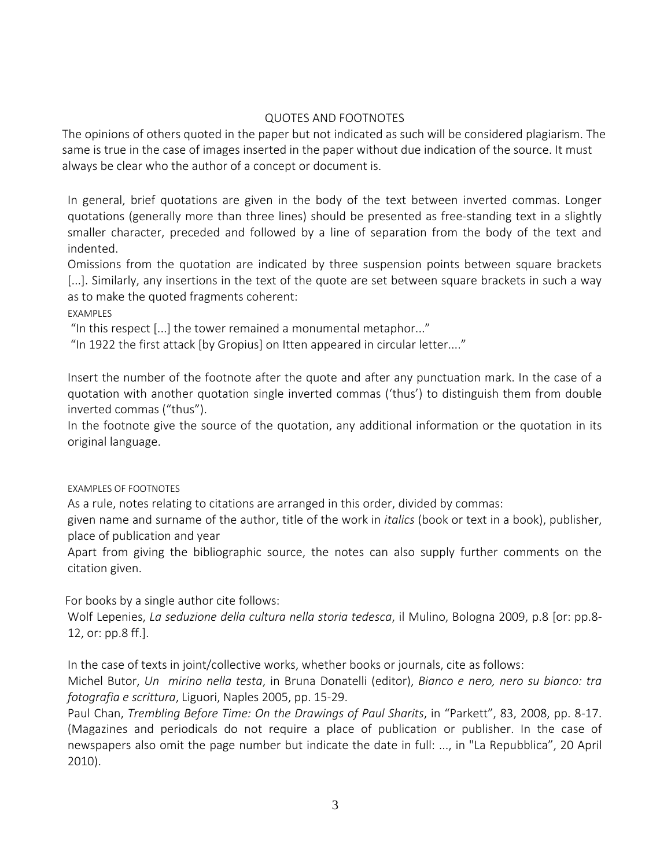#### QUOTES AND FOOTNOTES

The opinions of others quoted in the paper but not indicated as such will be considered plagiarism. The same is true in the case of images inserted in the paper without due indication of the source. It must always be clear who the author of a concept or document is.

In general, brief quotations are given in the body of the text between inverted commas. Longer quotations (generally more than three lines) should be presented as free-standing text in a slightly smaller character, preceded and followed by a line of separation from the body of the text and indented.

Omissions from the quotation are indicated by three suspension points between square brackets [...]. Similarly, any insertions in the text of the quote are set between square brackets in such a way as to make the quoted fragments coherent:

EXAMPLES

"In this respect [...] the tower remained a monumental metaphor..."

"In 1922 the first attack [by Gropius] on Itten appeared in circular letter...."

Insert the number of the footnote after the quote and after any punctuation mark. In the case of a quotation with another quotation single inverted commas ('thus') to distinguish them from double inverted commas ("thus").

In the footnote give the source of the quotation, any additional information or the quotation in its original language.

EXAMPLES OF FOOTNOTES

As a rule, notes relating to citations are arranged in this order, divided by commas:

given name and surname of the author, title of the work in *italics* (book or text in a book), publisher, place of publication and year

Apart from giving the bibliographic source, the notes can also supply further comments on the citation given.

For books by a single author cite follows:

Wolf Lepenies, *La seduzione della cultura nella storia tedesca*, il Mulino, Bologna 2009, p.8 [or: pp.8- 12, or: pp.8 ff.].

In the case of texts in joint/collective works, whether books or journals, cite as follows:

Michel Butor, *Un mirino nella testa*, in Bruna Donatelli (editor), *Bianco e nero, nero su bianco: tra fotografia e scrittura*, Liguori, Naples 2005, pp. 15-29.

Paul Chan, *Trembling Before Time: On the Drawings of Paul Sharits*, in "Parkett", 83, 2008, pp. 8-17. (Magazines and periodicals do not require a place of publication or publisher. In the case of newspapers also omit the page number but indicate the date in full: ..., in "La Repubblica", 20 April 2010).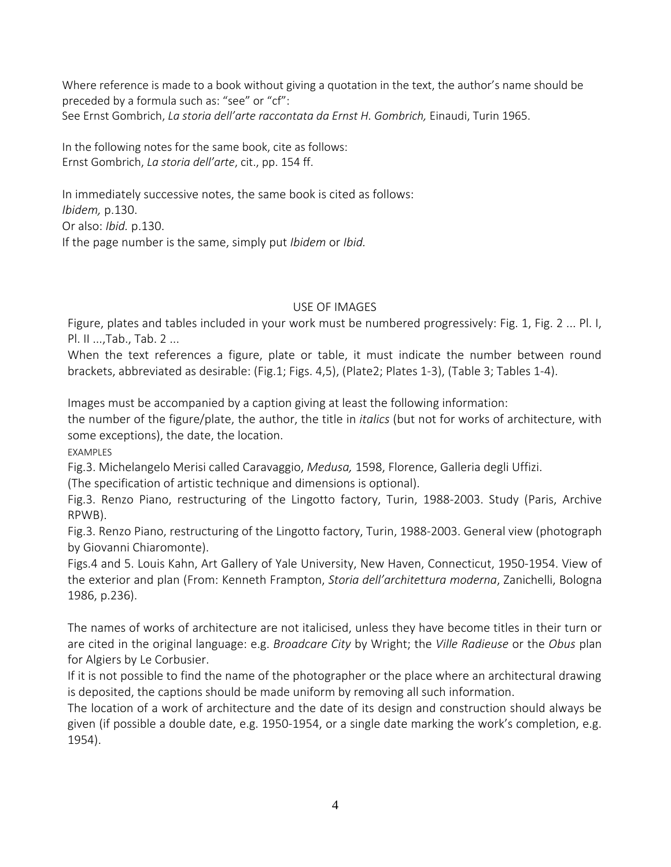Where reference is made to a book without giving a quotation in the text, the author's name should be preceded by a formula such as: "see" or "cf": See Ernst Gombrich, *La storia dell'arte raccontata da Ernst H. Gombrich,* Einaudi, Turin 1965.

In the following notes for the same book, cite as follows: Ernst Gombrich, *La storia dell'arte*, cit., pp. 154 ff.

In immediately successive notes, the same book is cited as follows: *Ibidem,* p.130. Or also: *Ibid.* p.130. If the page number is the same, simply put *Ibidem* or *Ibid.*

### USE OF IMAGES

Figure, plates and tables included in your work must be numbered progressively: Fig. 1, Fig. 2 ... Pl. I, Pl. II ...,Tab., Tab. 2 ...

When the text references a figure, plate or table, it must indicate the number between round brackets, abbreviated as desirable: (Fig.1; Figs. 4,5), (Plate2; Plates 1-3), (Table 3; Tables 1-4).

Images must be accompanied by a caption giving at least the following information:

the number of the figure/plate, the author, the title in *italics* (but not for works of architecture, with some exceptions), the date, the location.

EXAMPLES

Fig.3. Michelangelo Merisi called Caravaggio, *Medusa,* 1598, Florence, Galleria degli Uffizi.

(The specification of artistic technique and dimensions is optional).

Fig.3. Renzo Piano, restructuring of the Lingotto factory, Turin, 1988-2003. Study (Paris, Archive RPWB).

Fig.3. Renzo Piano, restructuring of the Lingotto factory, Turin, 1988-2003. General view (photograph by Giovanni Chiaromonte).

Figs.4 and 5. Louis Kahn, Art Gallery of Yale University, New Haven, Connecticut, 1950-1954. View of the exterior and plan (From: Kenneth Frampton, *Storia dell'architettura moderna*, Zanichelli, Bologna 1986, p.236).

The names of works of architecture are not italicised, unless they have become titles in their turn or are cited in the original language: e.g. *Broadcare City* by Wright; the *Ville Radieuse* or the *Obus* plan for Algiers by Le Corbusier.

If it is not possible to find the name of the photographer or the place where an architectural drawing is deposited, the captions should be made uniform by removing all such information.

The location of a work of architecture and the date of its design and construction should always be given (if possible a double date, e.g. 1950-1954, or a single date marking the work's completion, e.g. 1954).